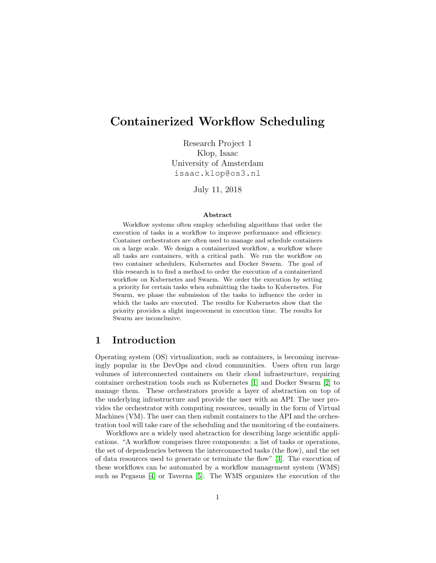# Containerized Workflow Scheduling

Research Project 1 Klop, Isaac University of Amsterdam isaac.klop@os3.nl

July 11, 2018

#### Abstract

Workflow systems often employ scheduling algorithms that order the execution of tasks in a workflow to improve performance and efficiency. Container orchestrators are often used to manage and schedule containers on a large scale. We design a containerized workflow, a workflow where all tasks are containers, with a critical path. We run the workflow on two container schedulers, Kubernetes and Docker Swarm. The goal of this research is to find a method to order the execution of a containerized workflow on Kubernetes and Swarm. We order the execution by setting a priority for certain tasks when submitting the tasks to Kubernetes. For Swarm, we phase the submission of the tasks to influence the order in which the tasks are executed. The results for Kubernetes show that the priority provides a slight improvement in execution time. The results for Swarm are inconclusive.

### 1 Introduction

Operating system (OS) virtualization, such as containers, is becoming increasingly popular in the DevOps and cloud communities. Users often run large volumes of interconnected containers on their cloud infrastructure, requiring container orchestration tools such as Kubernetes [\[1\]](#page-9-0) and Docker Swarm [\[2\]](#page-9-1) to manage them. These orchestrators provide a layer of abstraction on top of the underlying infrastructure and provide the user with an API. The user provides the orchestrator with computing resources, usually in the form of Virtual Machines (VM). The user can then submit containers to the API and the orchestration tool will take care of the scheduling and the monitoring of the containers.

Workflows are a widely used abstraction for describing large scientific applications. "A workflow comprises three components: a list of tasks or operations, the set of dependencies between the interconnected tasks (the flow), and the set of data resources used to generate or terminate the flow" [\[3\]](#page-9-2). The execution of these workflows can be automated by a workflow management system (WMS) such as Pegasus [\[4\]](#page-9-3) or Taverna [\[5\]](#page-9-4). The WMS organizes the execution of the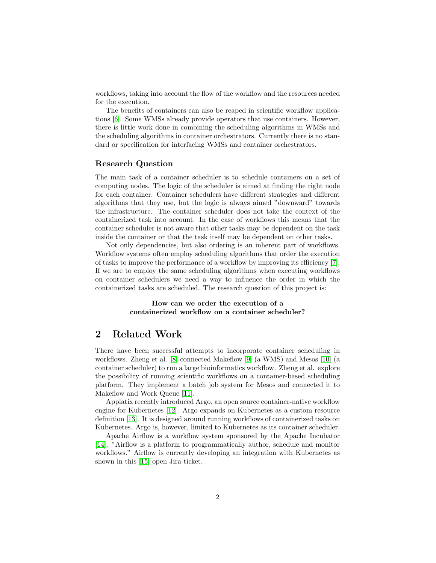workflows, taking into account the flow of the workflow and the resources needed for the execution.

The benefits of containers can also be reaped in scientific workflow applications [\[6\]](#page-9-5). Some WMSs already provide operators that use containers. However, there is little work done in combining the scheduling algorithms in WMSs and the scheduling algorithms in container orchestrators. Currently there is no standard or specification for interfacing WMSs and container orchestrators.

#### Research Question

The main task of a container scheduler is to schedule containers on a set of computing nodes. The logic of the scheduler is aimed at finding the right node for each container. Container schedulers have different strategies and different algorithms that they use, but the logic is always aimed "downward" towards the infrastructure. The container scheduler does not take the context of the containerized task into account. In the case of workflows this means that the container scheduler is not aware that other tasks may be dependent on the task inside the container or that the task itself may be dependent on other tasks.

Not only dependencies, but also ordering is an inherent part of workflows. Workflow systems often employ scheduling algorithms that order the execution of tasks to improve the performance of a workflow by improving its efficiency [\[7\]](#page-9-6). If we are to employ the same scheduling algorithms when executing workflows on container schedulers we need a way to influence the order in which the containerized tasks are scheduled. The research question of this project is:

> How can we order the execution of a containerized workflow on a container scheduler?

# 2 Related Work

There have been successful attempts to incorporate container scheduling in workflows. Zheng et al. [\[8\]](#page-10-0) connected Makeflow [\[9\]](#page-10-1) (a WMS) and Mesos [\[10\]](#page-10-2) (a container scheduler) to run a large bioinformatics workflow. Zheng et al. explore the possibility of running scientific workflows on a container-based scheduling platform. They implement a batch job system for Mesos and connected it to Makeflow and Work Queue [\[11\]](#page-10-3).

Applatix recently introduced Argo, an open source container-native workflow engine for Kubernetes [\[12\]](#page-10-4). Argo expands on Kubernetes as a custom resource definition [\[13\]](#page-10-5). It is designed around running workflows of containerized tasks on Kubernetes. Argo is, however, limited to Kubernetes as its container scheduler.

Apache Airflow is a workflow system sponsored by the Apache Incubator [\[14\]](#page-10-6). "Airflow is a platform to programmatically author, schedule and monitor workflows." Airflow is currently developing an integration with Kubernetes as shown in this [\[15\]](#page-10-7) open Jira ticket.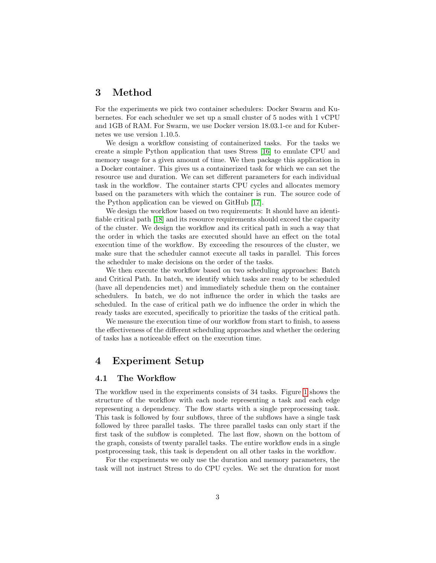### 3 Method

For the experiments we pick two container schedulers: Docker Swarm and Kubernetes. For each scheduler we set up a small cluster of 5 nodes with 1 vCPU and 1GB of RAM. For Swarm, we use Docker version 18.03.1-ce and for Kubernetes we use version 1.10.5.

We design a workflow consisting of containerized tasks. For the tasks we create a simple Python application that uses Stress [\[16\]](#page-10-8) to emulate CPU and memory usage for a given amount of time. We then package this application in a Docker container. This gives us a containerized task for which we can set the resource use and duration. We can set different parameters for each individual task in the workflow. The container starts CPU cycles and allocates memory based on the parameters with which the container is run. The source code of the Python application can be viewed on GitHub [\[17\]](#page-10-9).

We design the workflow based on two requirements: It should have an identifiable critical path [\[18\]](#page-10-10) and its resource requirements should exceed the capacity of the cluster. We design the workflow and its critical path in such a way that the order in which the tasks are executed should have an effect on the total execution time of the workflow. By exceeding the resources of the cluster, we make sure that the scheduler cannot execute all tasks in parallel. This forces the scheduler to make decisions on the order of the tasks.

We then execute the workflow based on two scheduling approaches: Batch and Critical Path. In batch, we identify which tasks are ready to be scheduled (have all dependencies met) and immediately schedule them on the container schedulers. In batch, we do not influence the order in which the tasks are scheduled. In the case of critical path we do influence the order in which the ready tasks are executed, specifically to prioritize the tasks of the critical path.

We measure the execution time of our workflow from start to finish, to assess the effectiveness of the different scheduling approaches and whether the ordering of tasks has a noticeable effect on the execution time.

# 4 Experiment Setup

#### 4.1 The Workflow

The workflow used in the experiments consists of 34 tasks. Figure [1](#page-3-0) shows the structure of the workflow with each node representing a task and each edge representing a dependency. The flow starts with a single preprocessing task. This task is followed by four subflows, three of the subflows have a single task followed by three parallel tasks. The three parallel tasks can only start if the first task of the subflow is completed. The last flow, shown on the bottom of the graph, consists of twenty parallel tasks. The entire workflow ends in a single postprocessing task, this task is dependent on all other tasks in the workflow.

For the experiments we only use the duration and memory parameters, the task will not instruct Stress to do CPU cycles. We set the duration for most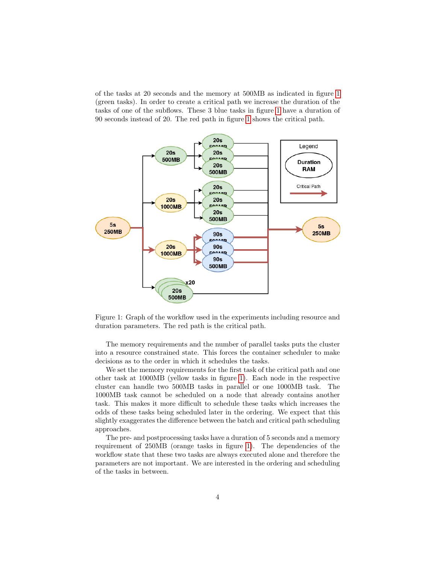of the tasks at 20 seconds and the memory at 500MB as indicated in figure [1](#page-3-0) (green tasks). In order to create a critical path we increase the duration of the tasks of one of the subflows. These 3 blue tasks in figure [1](#page-3-0) have a duration of 90 seconds instead of 20. The red path in figure [1](#page-3-0) shows the critical path.



<span id="page-3-0"></span>Figure 1: Graph of the workflow used in the experiments including resource and duration parameters. The red path is the critical path.

The memory requirements and the number of parallel tasks puts the cluster into a resource constrained state. This forces the container scheduler to make decisions as to the order in which it schedules the tasks.

We set the memory requirements for the first task of the critical path and one other task at 1000MB (yellow tasks in figure [1\)](#page-3-0). Each node in the respective cluster can handle two 500MB tasks in parallel or one 1000MB task. The 1000MB task cannot be scheduled on a node that already contains another task. This makes it more difficult to schedule these tasks which increases the odds of these tasks being scheduled later in the ordering. We expect that this slightly exaggerates the difference between the batch and critical path scheduling approaches.

The pre- and postprocessing tasks have a duration of 5 seconds and a memory requirement of 250MB (orange tasks in figure [1\)](#page-3-0). The dependencies of the workflow state that these two tasks are always executed alone and therefore the parameters are not important. We are interested in the ordering and scheduling of the tasks in between.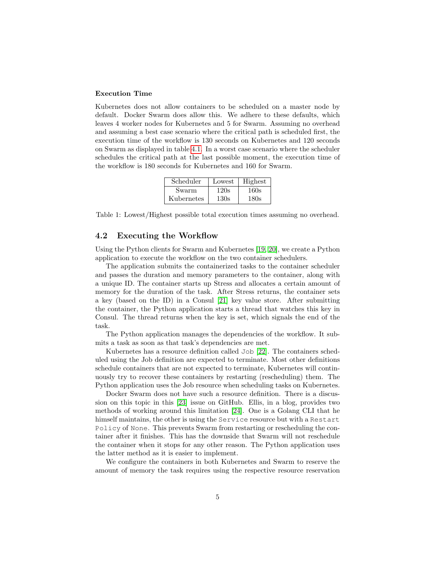#### <span id="page-4-0"></span>Execution Time

Kubernetes does not allow containers to be scheduled on a master node by default. Docker Swarm does allow this. We adhere to these defaults, which leaves 4 worker nodes for Kubernetes and 5 for Swarm. Assuming no overhead and assuming a best case scenario where the critical path is scheduled first, the execution time of the workflow is 130 seconds on Kubernetes and 120 seconds on Swarm as displayed in table [4.1.](#page-4-0) In a worst case scenario where the scheduler schedules the critical path at the last possible moment, the execution time of the workflow is 180 seconds for Kubernetes and 160 for Swarm.

| Scheduler  | Lowest | Highest |
|------------|--------|---------|
| Swarm      | 120s   | 160s    |
| Kubernetes | 130s   | 180s    |

Table 1: Lowest/Highest possible total execution times assuming no overhead.

#### 4.2 Executing the Workflow

Using the Python clients for Swarm and Kubernetes [\[19,](#page-10-11) [20\]](#page-10-12), we create a Python application to execute the workflow on the two container schedulers.

The application submits the containerized tasks to the container scheduler and passes the duration and memory parameters to the container, along with a unique ID. The container starts up Stress and allocates a certain amount of memory for the duration of the task. After Stress returns, the container sets a key (based on the ID) in a Consul [\[21\]](#page-10-13) key value store. After submitting the container, the Python application starts a thread that watches this key in Consul. The thread returns when the key is set, which signals the end of the task.

The Python application manages the dependencies of the workflow. It submits a task as soon as that task's dependencies are met.

Kubernetes has a resource definition called Job [\[22\]](#page-11-0). The containers scheduled using the Job definition are expected to terminate. Most other definitions schedule containers that are not expected to terminate, Kubernetes will continuously try to recover these containers by restarting (rescheduling) them. The Python application uses the Job resource when scheduling tasks on Kubernetes.

Docker Swarm does not have such a resource definition. There is a discussion on this topic in this [\[23\]](#page-11-1) issue on GitHub. Ellis, in a blog, provides two methods of working around this limitation [\[24\]](#page-11-2). One is a Golang CLI that he himself maintains, the other is using the Service resource but with a Restart Policy of None. This prevents Swarm from restarting or rescheduling the container after it finishes. This has the downside that Swarm will not reschedule the container when it stops for any other reason. The Python application uses the latter method as it is easier to implement.

We configure the containers in both Kubernetes and Swarm to reserve the amount of memory the task requires using the respective resource reservation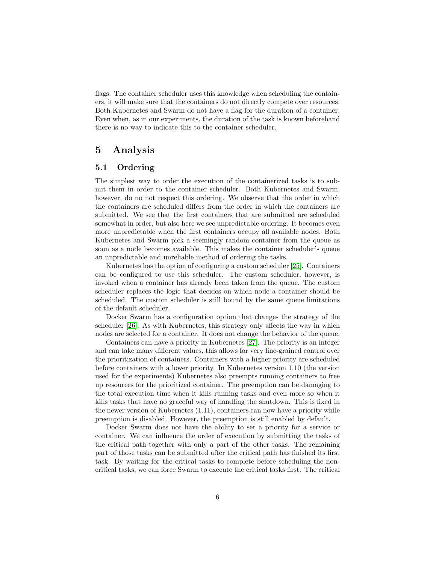flags. The container scheduler uses this knowledge when scheduling the containers, it will make sure that the containers do not directly compete over resources. Both Kubernetes and Swarm do not have a flag for the duration of a container. Even when, as in our experiments, the duration of the task is known beforehand there is no way to indicate this to the container scheduler.

### 5 Analysis

#### 5.1 Ordering

The simplest way to order the execution of the containerized tasks is to submit them in order to the container scheduler. Both Kubernetes and Swarm, however, do no not respect this ordering. We observe that the order in which the containers are scheduled differs from the order in which the containers are submitted. We see that the first containers that are submitted are scheduled somewhat in order, but also here we see unpredictable ordering. It becomes even more unpredictable when the first containers occupy all available nodes. Both Kubernetes and Swarm pick a seemingly random container from the queue as soon as a node becomes available. This makes the container scheduler's queue an unpredictable and unreliable method of ordering the tasks.

Kubernetes has the option of configuring a custom scheduler [\[25\]](#page-11-3). Containers can be configured to use this scheduler. The custom scheduler, however, is invoked when a container has already been taken from the queue. The custom scheduler replaces the logic that decides on which node a container should be scheduled. The custom scheduler is still bound by the same queue limitations of the default scheduler.

Docker Swarm has a configuration option that changes the strategy of the scheduler [\[26\]](#page-11-4). As with Kubernetes, this strategy only affects the way in which nodes are selected for a container. It does not change the behavior of the queue.

Containers can have a priority in Kubernetes [\[27\]](#page-11-5). The priority is an integer and can take many different values, this allows for very fine-grained control over the prioritization of containers. Containers with a higher priority are scheduled before containers with a lower priority. In Kubernetes version 1.10 (the version used for the experiments) Kubernetes also preempts running containers to free up resources for the prioritized container. The preemption can be damaging to the total execution time when it kills running tasks and even more so when it kills tasks that have no graceful way of handling the shutdown. This is fixed in the newer version of Kubernetes (1.11), containers can now have a priority while preemption is disabled. However, the preemption is still enabled by default.

Docker Swarm does not have the ability to set a priority for a service or container. We can influence the order of execution by submitting the tasks of the critical path together with only a part of the other tasks. The remaining part of those tasks can be submitted after the critical path has finished its first task. By waiting for the critical tasks to complete before scheduling the noncritical tasks, we can force Swarm to execute the critical tasks first. The critical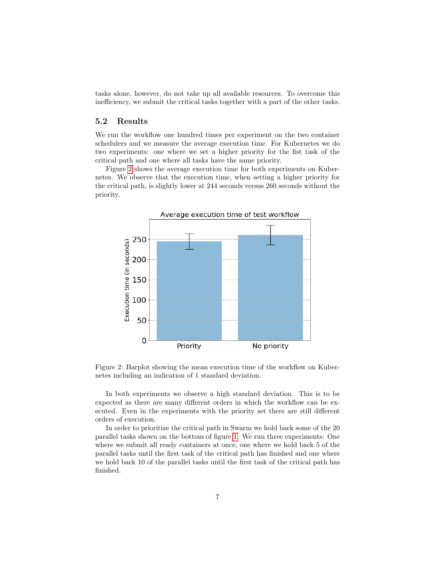tasks alone, however, do not take up all available resources. To overcome this inefficiency, we submit the critical tasks together with a part of the other tasks.

#### 5.2 Results

We run the workflow one hundred times per experiment on the two container schedulers and we measure the average execution time. For Kubernetes we do two experiments: one where we set a higher priority for the fist task of the critical path and one where all tasks have the same priority.

Figure [2](#page-6-0) shows the average execution time for both experiments on Kubernetes. We observe that the execution time, when setting a higher priority for the critical path, is slightly lower at 244 seconds versus 260 seconds without the priority.



<span id="page-6-0"></span>Figure 2: Barplot showing the mean execution time of the workflow on Kubernetes including an indication of 1 standard deviation.

In both experiments we observe a high standard deviation. This is to be expected as there are many different orders in which the workflow can be executed. Even in the experiments with the priority set there are still different orders of execution.

In order to prioritize the critical path in Swarm we hold back some of the 20 parallel tasks shown on the bottom of figure [1.](#page-3-0) We run three experiments: One where we submit all ready containers at once, one where we hold back 5 of the parallel tasks until the first task of the critical path has finished and one where we hold back 10 of the parallel tasks until the first task of the critical path has finished.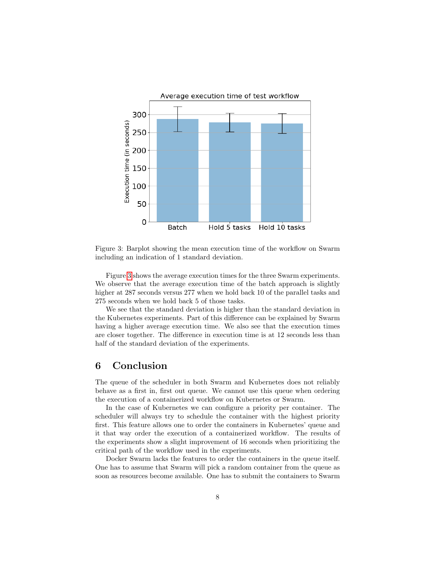

<span id="page-7-0"></span>Figure 3: Barplot showing the mean execution time of the workflow on Swarm including an indication of 1 standard deviation.

Figure [3](#page-7-0) shows the average execution times for the three Swarm experiments. We observe that the average execution time of the batch approach is slightly higher at 287 seconds versus 277 when we hold back 10 of the parallel tasks and 275 seconds when we hold back 5 of those tasks.

We see that the standard deviation is higher than the standard deviation in the Kubernetes experiments. Part of this difference can be explained by Swarm having a higher average execution time. We also see that the execution times are closer together. The difference in execution time is at 12 seconds less than half of the standard deviation of the experiments.

# 6 Conclusion

The queue of the scheduler in both Swarm and Kubernetes does not reliably behave as a first in, first out queue. We cannot use this queue when ordering the execution of a containerized workflow on Kubernetes or Swarm.

In the case of Kubernetes we can configure a priority per container. The scheduler will always try to schedule the container with the highest priority first. This feature allows one to order the containers in Kubernetes' queue and it that way order the execution of a containerized workflow. The results of the experiments show a slight improvement of 16 seconds when prioritizing the critical path of the workflow used in the experiments.

Docker Swarm lacks the features to order the containers in the queue itself. One has to assume that Swarm will pick a random container from the queue as soon as resources become available. One has to submit the containers to Swarm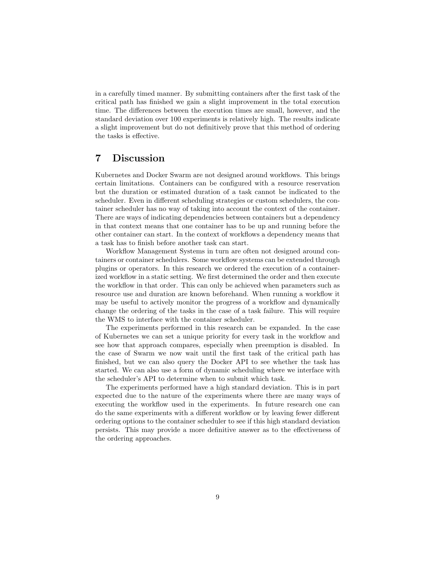in a carefully timed manner. By submitting containers after the first task of the critical path has finished we gain a slight improvement in the total execution time. The differences between the execution times are small, however, and the standard deviation over 100 experiments is relatively high. The results indicate a slight improvement but do not definitively prove that this method of ordering the tasks is effective.

# 7 Discussion

Kubernetes and Docker Swarm are not designed around workflows. This brings certain limitations. Containers can be configured with a resource reservation but the duration or estimated duration of a task cannot be indicated to the scheduler. Even in different scheduling strategies or custom schedulers, the container scheduler has no way of taking into account the context of the container. There are ways of indicating dependencies between containers but a dependency in that context means that one container has to be up and running before the other container can start. In the context of workflows a dependency means that a task has to finish before another task can start.

Workflow Management Systems in turn are often not designed around containers or container schedulers. Some workflow systems can be extended through plugins or operators. In this research we ordered the execution of a containerized workflow in a static setting. We first determined the order and then execute the workflow in that order. This can only be achieved when parameters such as resource use and duration are known beforehand. When running a workflow it may be useful to actively monitor the progress of a workflow and dynamically change the ordering of the tasks in the case of a task failure. This will require the WMS to interface with the container scheduler.

The experiments performed in this research can be expanded. In the case of Kubernetes we can set a unique priority for every task in the workflow and see how that approach compares, especially when preemption is disabled. In the case of Swarm we now wait until the first task of the critical path has finished, but we can also query the Docker API to see whether the task has started. We can also use a form of dynamic scheduling where we interface with the scheduler's API to determine when to submit which task.

The experiments performed have a high standard deviation. This is in part expected due to the nature of the experiments where there are many ways of executing the workflow used in the experiments. In future research one can do the same experiments with a different workflow or by leaving fewer different ordering options to the container scheduler to see if this high standard deviation persists. This may provide a more definitive answer as to the effectiveness of the ordering approaches.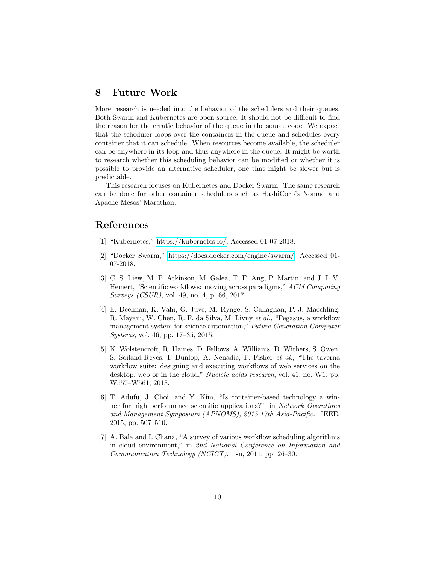### 8 Future Work

More research is needed into the behavior of the schedulers and their queues. Both Swarm and Kubernetes are open source. It should not be difficult to find the reason for the erratic behavior of the queue in the source code. We expect that the scheduler loops over the containers in the queue and schedules every container that it can schedule. When resources become available, the scheduler can be anywhere in its loop and thus anywhere in the queue. It might be worth to research whether this scheduling behavior can be modified or whether it is possible to provide an alternative scheduler, one that might be slower but is predictable.

This research focuses on Kubernetes and Docker Swarm. The same research can be done for other container schedulers such as HashiCorp's Nomad and Apache Mesos' Marathon.

### References

- <span id="page-9-0"></span>[1] "Kubernetes," [https://kubernetes.io/,](https://kubernetes.io/) Accessed 01-07-2018.
- <span id="page-9-1"></span>[2] "Docker Swarm," [https://docs.docker.com/engine/swarm/,](https://docs.docker.com/engine/swarm/) Accessed 01- 07-2018.
- <span id="page-9-2"></span>[3] C. S. Liew, M. P. Atkinson, M. Galea, T. F. Ang, P. Martin, and J. I. V. Hemert, "Scientific workflows: moving across paradigms," ACM Computing Surveys (CSUR), vol. 49, no. 4, p. 66, 2017.
- <span id="page-9-3"></span>[4] E. Deelman, K. Vahi, G. Juve, M. Rynge, S. Callaghan, P. J. Maechling, R. Mayani, W. Chen, R. F. da Silva, M. Livny et al., "Pegasus, a workflow management system for science automation," Future Generation Computer Systems, vol. 46, pp. 17–35, 2015.
- <span id="page-9-4"></span>[5] K. Wolstencroft, R. Haines, D. Fellows, A. Williams, D. Withers, S. Owen, S. Soiland-Reyes, I. Dunlop, A. Nenadic, P. Fisher et al., "The taverna workflow suite: designing and executing workflows of web services on the desktop, web or in the cloud," *Nucleic acids research*, vol. 41, no. W1, pp. W557–W561, 2013.
- <span id="page-9-5"></span>[6] T. Adufu, J. Choi, and Y. Kim, "Is container-based technology a winner for high performance scientific applications?" in Network Operations and Management Symposium (APNOMS), 2015 17th Asia-Pacific. IEEE, 2015, pp. 507–510.
- <span id="page-9-6"></span>[7] A. Bala and I. Chana, "A survey of various workflow scheduling algorithms in cloud environment," in 2nd National Conference on Information and Communication Technology (NCICT). sn, 2011, pp. 26–30.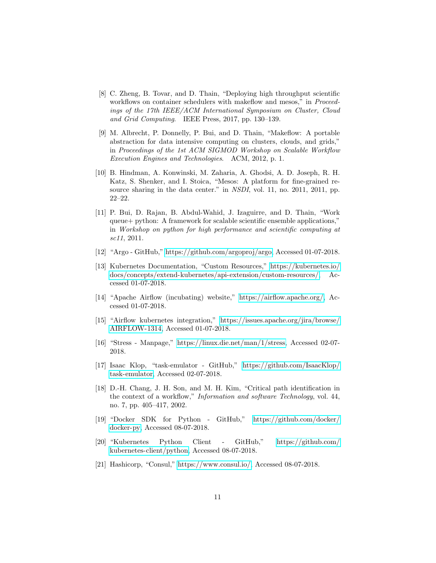- <span id="page-10-0"></span>[8] C. Zheng, B. Tovar, and D. Thain, "Deploying high throughput scientific workflows on container schedulers with makeflow and mesos," in *Proceed*ings of the 17th IEEE/ACM International Symposium on Cluster, Cloud and Grid Computing. IEEE Press, 2017, pp. 130–139.
- <span id="page-10-1"></span>[9] M. Albrecht, P. Donnelly, P. Bui, and D. Thain, "Makeflow: A portable abstraction for data intensive computing on clusters, clouds, and grids," in Proceedings of the 1st ACM SIGMOD Workshop on Scalable Workflow Execution Engines and Technologies. ACM, 2012, p. 1.
- <span id="page-10-2"></span>[10] B. Hindman, A. Konwinski, M. Zaharia, A. Ghodsi, A. D. Joseph, R. H. Katz, S. Shenker, and I. Stoica, "Mesos: A platform for fine-grained resource sharing in the data center." in NSDI, vol. 11, no. 2011, 2011, pp. 22–22.
- <span id="page-10-3"></span>[11] P. Bui, D. Rajan, B. Abdul-Wahid, J. Izaguirre, and D. Thain, "Work queue+ python: A framework for scalable scientific ensemble applications," in Workshop on python for high performance and scientific computing at sc11, 2011.
- <span id="page-10-4"></span>[12] "Argo - GitHub," [https://github.com/argoproj/argo,](https://github.com/argoproj/argo) Accessed 01-07-2018.
- <span id="page-10-5"></span>[13] Kubernetes Documentation, "Custom Resources," [https://kubernetes.io/](https://kubernetes.io/docs/concepts/extend-kubernetes/api-extension/custom-resources/) [docs/concepts/extend-kubernetes/api-extension/custom-resources/,](https://kubernetes.io/docs/concepts/extend-kubernetes/api-extension/custom-resources/) Accessed 01-07-2018.
- <span id="page-10-6"></span>[14] "Apache Airflow (incubating) website," [https://airflow.apache.org/,](https://airflow.apache.org/) Accessed 01-07-2018.
- <span id="page-10-7"></span>[15] "Airflow kubernetes integration," [https://issues.apache.org/jira/browse/](https://issues.apache.org/jira/browse/AIRFLOW-1314) [AIRFLOW-1314,](https://issues.apache.org/jira/browse/AIRFLOW-1314) Accessed 01-07-2018.
- <span id="page-10-8"></span>[16] "Stress - Manpage," [https://linux.die.net/man/1/stress,](https://linux.die.net/man/1/stress) Accessed 02-07- 2018.
- <span id="page-10-9"></span>[17] Isaac Klop, "task-emulator - GitHub," [https://github.com/IsaacKlop/](https://github.com/IsaacKlop/task-emulator) [task-emulator,](https://github.com/IsaacKlop/task-emulator) Accessed 02-07-2018.
- <span id="page-10-10"></span>[18] D.-H. Chang, J. H. Son, and M. H. Kim, "Critical path identification in the context of a workflow," Information and software Technology, vol. 44, no. 7, pp. 405–417, 2002.
- <span id="page-10-11"></span>[19] "Docker SDK for Python - GitHub," [https://github.com/docker/](https://github.com/docker/docker-py) [docker-py,](https://github.com/docker/docker-py) Accessed 08-07-2018.
- <span id="page-10-12"></span>[20] "Kubernetes Python Client - GitHub," [https://github.com/](https://github.com/kubernetes-client/python) [kubernetes-client/python,](https://github.com/kubernetes-client/python) Accessed 08-07-2018.
- <span id="page-10-13"></span>[21] Hashicorp, "Consul," [https://www.consul.io/,](https://www.consul.io/) Accessed 08-07-2018.